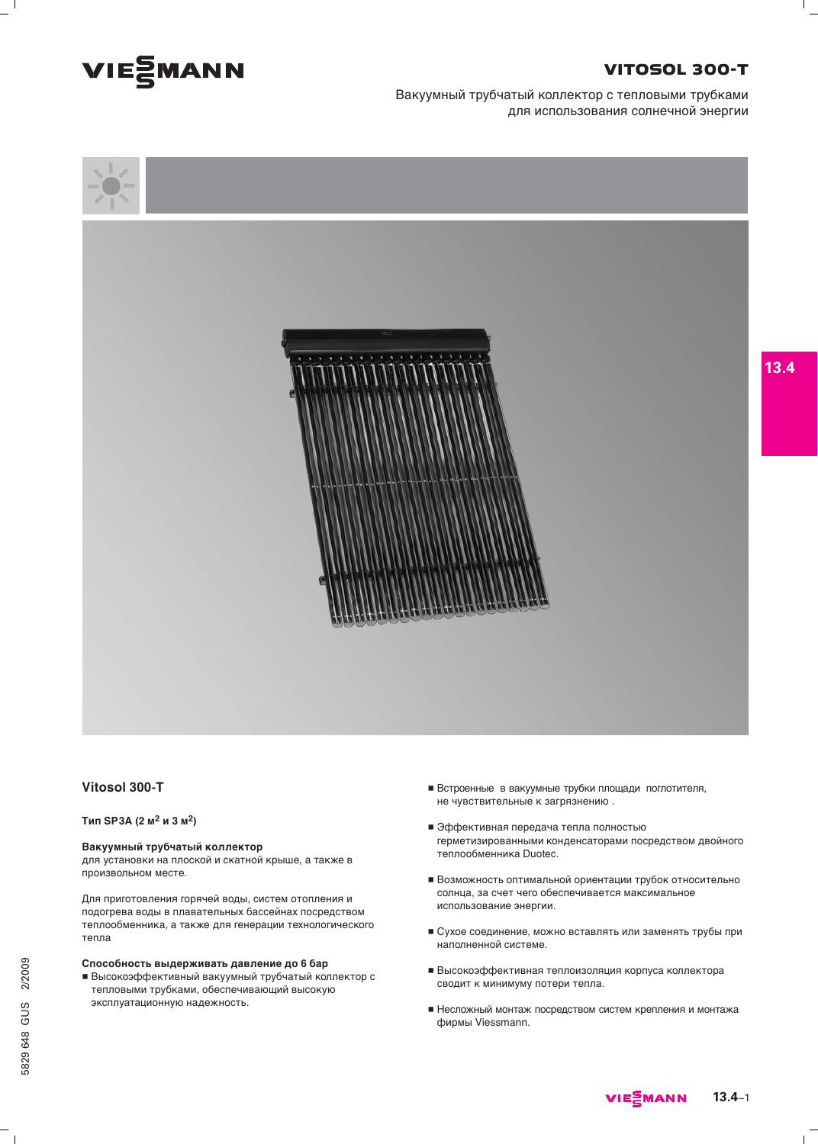

## **VITOSOL 300-T**

Вакуумный трубчатый коллектор с тепловыми трубками для использования солнечной энергии



#### Vitosol 300-T

Тип SP3A (2 м<sup>2</sup> и 3 м<sup>2</sup>)

#### Вакуумный трубчатый коллектор

для установки на плоской и скатной крыше, а также в произвольном месте.

Для приготовления горячей воды, систем отопления и подогрева воды в плавательных бассейнах посредством теплообменника, а также для генерации технологического тепла

#### Способность выдерживать давление до 6 бар

**• Высокоэффективный вакуумный трубчатый коллектор с** тепловыми трубками, обеспечивающий высокую эксплуатационную надежность.

- Встроенные в вакуумные трубки площади поглотителя, не чувствительные к загрязнению.
- Эффективная передача тепла полностью герметизированными конденсаторами посредством двойного теплообменника Duotec.
- Возможность оптимальной ориентации трубок относительно солнца, за счет чего обеспечивается максимальное использование энергии.
- Сухое соединение, можно вставлять или заменять трубы при наполненной системе.
- Высокоэффективная теплоизоляция корпуса коллектора сводит к минимуму потери тепла.
- Несложный монтаж посредством систем крепления и монтажа фирмы Viessmann.

VIE MANN  $13.4 - 1$   $\mathbf{L}$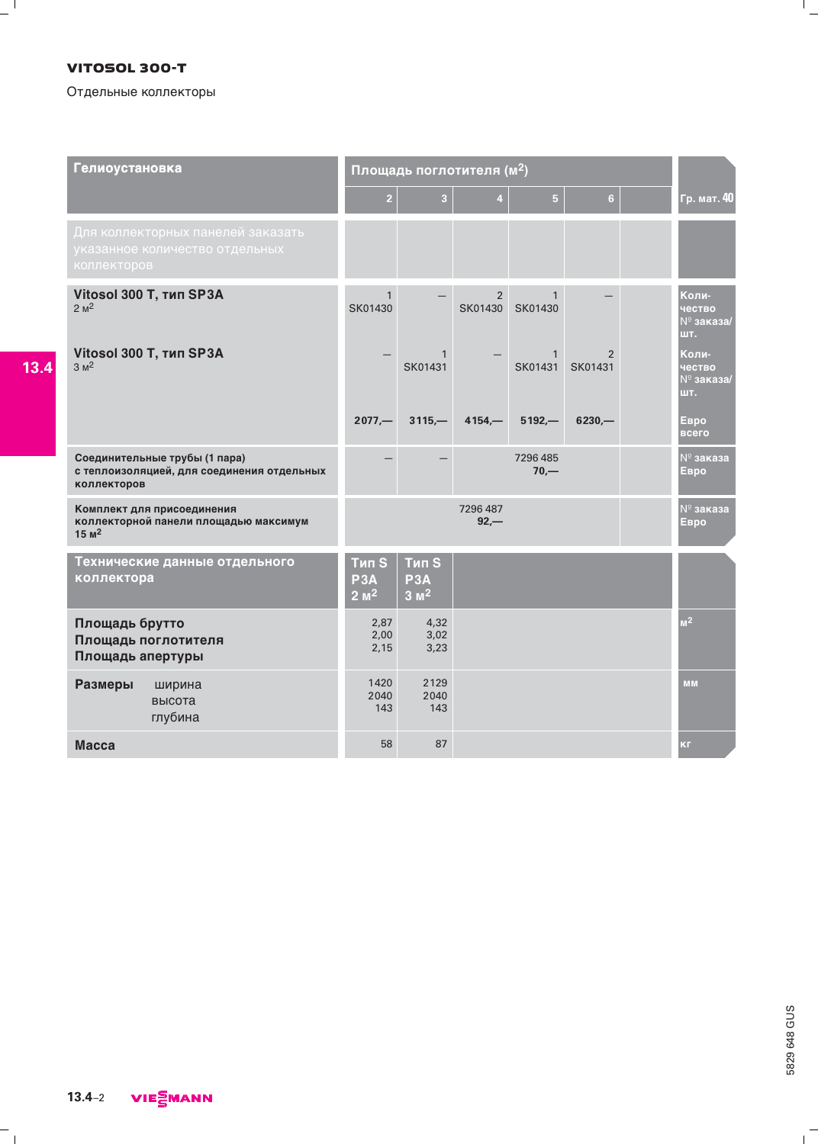### **VITOSOL 300-T**

 $=$  $\frac{1}{1}$ 

 $13.4$ 

### Отдельные коллекторы

| <b>Гелиоустановка</b>                                                                      | Площадь поглотителя (м <sup>2</sup> )  |                                                     |                           |                         |                           |  |                                               |
|--------------------------------------------------------------------------------------------|----------------------------------------|-----------------------------------------------------|---------------------------|-------------------------|---------------------------|--|-----------------------------------------------|
|                                                                                            | $\overline{2}$                         | $\overline{\mathbf{3}}$                             | $\overline{4}$            | $\overline{5}$          | 6                         |  | Гр. мат. 40                                   |
| Для коллекторных панелей заказать<br>указанное количество отдельных<br>коллекторов         |                                        |                                                     |                           |                         |                           |  |                                               |
| Vitosol 300 T, THIT SP3A<br>2 <sup>2</sup>                                                 | $\mathbf{1}$<br>SK01430                |                                                     | $\overline{2}$<br>SK01430 | $\mathbf{1}$<br>SK01430 |                           |  | Коли-<br>чество<br>№ заказа/<br>ШT.           |
| Vitosol 300 T, THIT SP3A<br>3 M <sup>2</sup>                                               |                                        | $\mathbf{1}$<br>SK01431                             |                           | $\mathbf{1}$<br>SK01431 | $\overline{2}$<br>SK01431 |  | Коли-<br>чество<br>$N^{\circ}$ заказа/<br>шт. |
|                                                                                            | $2077 -$                               | $3115 -$                                            | $4154 -$                  | $5192 -$                | $6230 -$                  |  | Евро<br>всего                                 |
| Соединительные трубы (1 пара)<br>с теплоизоляцией, для соединения отдельных<br>коллекторов |                                        |                                                     |                           | 7296485<br>$70, -$      |                           |  | $N^{\circ}$ заказа<br>Евро                    |
| Комплект для присоединения<br>коллекторной панели площадью максимум<br>$15M$ <sup>2</sup>  | 7296 487<br>$92 -$                     |                                                     |                           |                         |                           |  | $N^{\circ}$ заказа<br>Евро                    |
| Технические данные отдельного<br>коллектора                                                | <b>Тип S</b><br>P3A<br>$2 \text{ m}^2$ | <b>Тип S</b><br>P <sub>3</sub> A<br>$3 \text{ m}^2$ |                           |                         |                           |  |                                               |
| Площадь брутто<br>Площадь поглотителя<br>Площадь апертуры                                  | 2,87<br>2,00<br>2,15                   | 4,32<br>3,02<br>3,23                                |                           |                         |                           |  | M <sup>2</sup>                                |
| Размеры<br>ширина<br>высота<br>глубина                                                     | 1420<br>2040<br>143                    | 2129<br>2040<br>143                                 |                           |                         |                           |  | <b>MM</b>                                     |
| <b>Macca</b>                                                                               | 58                                     | 87                                                  |                           |                         |                           |  | <b>КГ</b>                                     |

 $\overline{1}$ 

 $\frac{1}{2}$ 

 $\overline{\phantom{a}}_1$